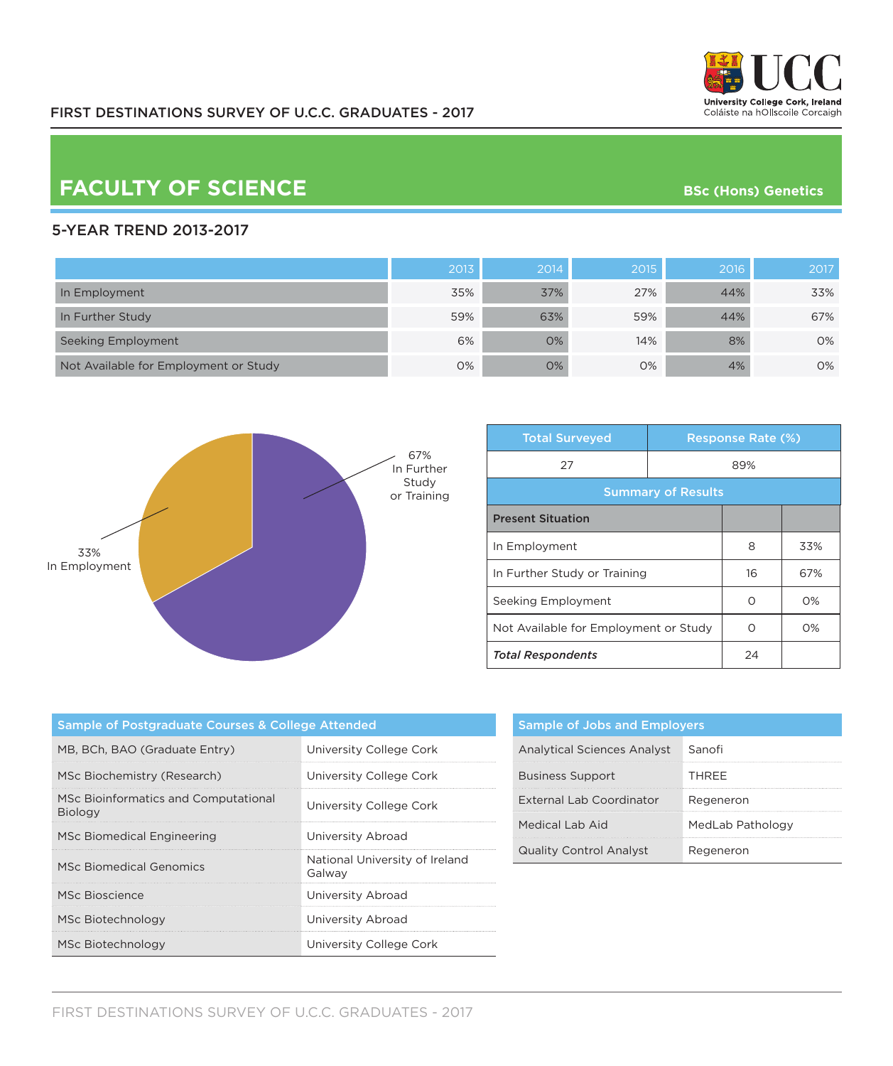

## **FACULTY OF SCIENCE BSC** (Hons) Genetics

## 5-YEAR TREND 2013-2017

|                                       | 2013 | 2014 | 2015 | 2016 | 2017 |
|---------------------------------------|------|------|------|------|------|
| In Employment                         | 35%  | 37%  | 27%  | 44%  | 33%  |
| In Further Study                      | 59%  | 63%  | 59%  | 44%  | 67%  |
| Seeking Employment                    | 6%   | 0%   | 14%  | 8%   | 0%   |
| Not Available for Employment or Study | 0%   | 0%   | 0%   | 4%   | 0%   |



| <b>Total Surveyed</b>                 |     | <b>Response Rate (%)</b> |       |  |
|---------------------------------------|-----|--------------------------|-------|--|
| 27                                    | 89% |                          |       |  |
| <b>Summary of Results</b>             |     |                          |       |  |
| <b>Present Situation</b>              |     |                          |       |  |
| In Employment                         |     | 8                        | 33%   |  |
| In Further Study or Training          |     | 16                       | 67%   |  |
| Seeking Employment                    |     | ∩                        | $O\%$ |  |
| Not Available for Employment or Study |     | Ω                        | $O\%$ |  |
| <b>Total Respondents</b>              |     | 24                       |       |  |

| <b>Sample of Postgraduate Courses &amp; College Attended</b> |                                          |  |  |
|--------------------------------------------------------------|------------------------------------------|--|--|
| MB, BCh, BAO (Graduate Entry)                                | University College Cork                  |  |  |
| MSc Biochemistry (Research)                                  | University College Cork                  |  |  |
| MSc Bioinformatics and Computational<br><b>Biology</b>       | University College Cork                  |  |  |
| MSc Biomedical Engineering                                   | University Abroad                        |  |  |
| <b>MSc Biomedical Genomics</b>                               | National University of Ireland<br>Galway |  |  |
| MSc Bioscience                                               | University Abroad                        |  |  |
| MSc Biotechnology                                            | University Abroad                        |  |  |
| MSc Biotechnology                                            | University College Cork                  |  |  |

| <b>Sample of Jobs and Employers</b> |                  |  |  |
|-------------------------------------|------------------|--|--|
| <b>Analytical Sciences Analyst</b>  | Sanofi           |  |  |
| <b>Business Support</b>             | THRFF            |  |  |
| External Lab Coordinator            | Regeneron        |  |  |
| Medical Lab Aid                     | MedLab Pathology |  |  |
| <b>Quality Control Analyst</b>      | Reaeneron        |  |  |